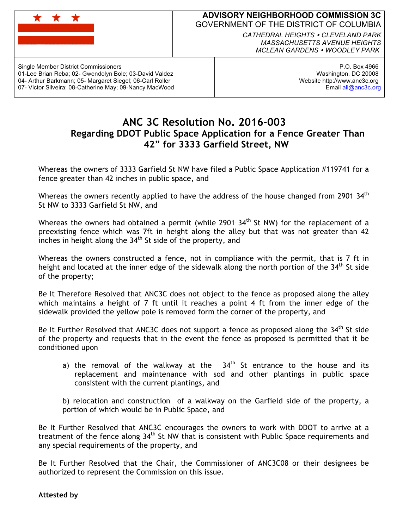

## **ADVISORY NEIGHBORHOOD COMMISSION 3C** GOVERNMENT OF THE DISTRICT OF COLUMBIA

*CATHEDRAL HEIGHTS CLEVELAND PARK MASSACHUSETTS AVENUE HEIGHTS MCLEAN GARDENS WOODLEY PARK*

Single Member District Commissioners 01-Lee Brian Reba; 02- Gwendolyn Bole; 03-David Valdez 04- Arthur Barkmann; 05- Margaret Siegel; 06-Carl Roller 07- Victor Silveira; 08-Catherine May; 09-Nancy MacWood

P.O. Box 4966 Washington, DC 20008 Website http://www.anc3c.org Email all@anc3c.org

## **ANC 3C Resolution No. 2016-003 Regarding DDOT Public Space Application for a Fence Greater Than 42" for 3333 Garfield Street, NW**

Whereas the owners of 3333 Garfield St NW have filed a Public Space Application #119741 for a fence greater than 42 inches in public space, and

Whereas the owners recently applied to have the address of the house changed from 2901  $34<sup>th</sup>$ St NW to 3333 Garfield St NW, and

Whereas the owners had obtained a permit (while 2901 34<sup>th</sup> St NW) for the replacement of a preexisting fence which was 7ft in height along the alley but that was not greater than 42 inches in height along the  $34<sup>th</sup>$  St side of the property, and

Whereas the owners constructed a fence, not in compliance with the permit, that is 7 ft in height and located at the inner edge of the sidewalk along the north portion of the  $34<sup>th</sup>$  St side of the property;

Be It Therefore Resolved that ANC3C does not object to the fence as proposed along the alley which maintains a height of 7 ft until it reaches a point 4 ft from the inner edge of the sidewalk provided the yellow pole is removed form the corner of the property, and

Be It Further Resolved that ANC3C does not support a fence as proposed along the  $34<sup>th</sup>$  St side of the property and requests that in the event the fence as proposed is permitted that it be conditioned upon

a) the removal of the walkway at the  $34<sup>th</sup>$  St entrance to the house and its replacement and maintenance with sod and other plantings in public space consistent with the current plantings, and

b) relocation and construction of a walkway on the Garfield side of the property, a portion of which would be in Public Space, and

Be It Further Resolved that ANC3C encourages the owners to work with DDOT to arrive at a treatment of the fence along 34<sup>th</sup> St NW that is consistent with Public Space requirements and any special requirements of the property, and

Be It Further Resolved that the Chair, the Commissioner of ANC3C08 or their designees be authorized to represent the Commission on this issue.

**Attested by**